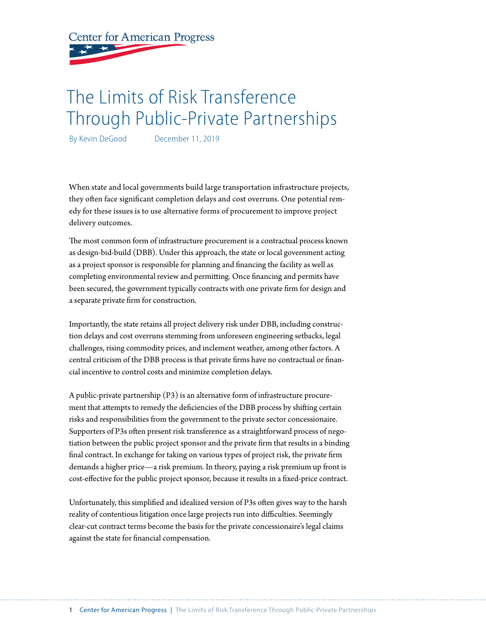**Center for American Progress** 

# The Limits of Risk Transference Through Public-Private Partnerships

By Kevin DeGood December 11, 2019

When state and local governments build large transportation infrastructure projects, they often face significant completion delays and cost overruns. One potential remedy for these issues is to use alternative forms of procurement to improve project delivery outcomes.

The most common form of infrastructure procurement is a contractual process known as design-bid-build (DBB). Under this approach, the state or local government acting as a project sponsor is responsible for planning and financing the facility as well as completing environmental review and permitting. Once financing and permits have been secured, the government typically contracts with one private firm for design and a separate private firm for construction.

Importantly, the state retains all project delivery risk under DBB, including construction delays and cost overruns stemming from unforeseen engineering setbacks, legal challenges, rising commodity prices, and inclement weather, among other factors. A central criticism of the DBB process is that private firms have no contractual or financial incentive to control costs and minimize completion delays.

A public-private partnership (P3) is an alternative form of infrastructure procurement that attempts to remedy the deficiencies of the DBB process by shifting certain risks and responsibilities from the government to the private sector concessionaire. Supporters of P3s often present risk transference as a straightforward process of negotiation between the public project sponsor and the private firm that results in a binding final contract. In exchange for taking on various types of project risk, the private firm demands a higher price—a risk premium. In theory, paying a risk premium up front is cost-effective for the public project sponsor, because it results in a fixed-price contract.

Unfortunately, this simplified and idealized version of P3s often gives way to the harsh reality of contentious litigation once large projects run into difficulties. Seemingly clear-cut contract terms become the basis for the private concessionaire's legal claims against the state for financial compensation.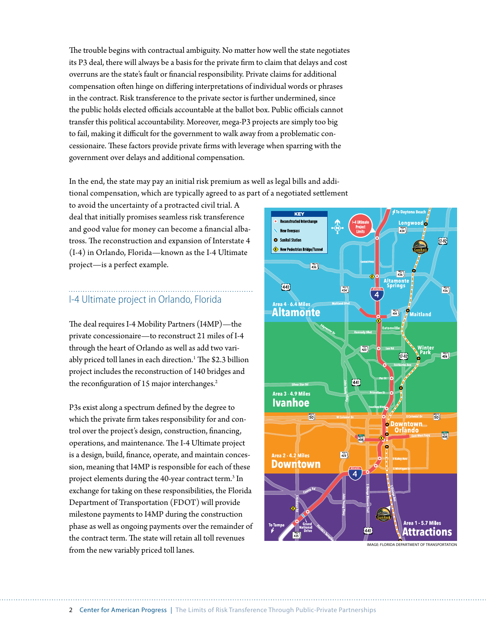The trouble begins with contractual ambiguity. No matter how well the state negotiates its P3 deal, there will always be a basis for the private firm to claim that delays and cost overruns are the state's fault or financial responsibility. Private claims for additional compensation often hinge on differing interpretations of individual words or phrases in the contract. Risk transference to the private sector is further undermined, since the public holds elected officials accountable at the ballot box. Public officials cannot transfer this political accountability. Moreover, mega-P3 projects are simply too big to fail, making it difficult for the government to walk away from a problematic concessionaire. These factors provide private firms with leverage when sparring with the government over delays and additional compensation.

In the end, the state may pay an initial risk premium as well as legal bills and additional compensation, which are typically agreed to as part of a negotiated settlement

to avoid the uncertainty of a protracted civil trial. A deal that initially promises seamless risk transference and good value for money can become a financial albatross. The reconstruction and expansion of Interstate 4 (I-4) in Orlando, Florida—known as the I-4 Ultimate project—is a perfect example.

## I-4 Ultimate project in Orlando, Florida

The deal requires I-4 Mobility Partners (I4MP)—the private concessionaire—to reconstruct 21 miles of I-4 through the heart of Orlando as well as add two variably priced toll lanes in each direction.<sup>1</sup> The \$2.3 billion project includes the reconstruction of 140 bridges and the reconfiguration of 15 major interchanges.<sup>2</sup>

P3s exist along a spectrum defined by the degree to which the private firm takes responsibility for and control over the project's design, construction, financing, operations, and maintenance. The I-4 Ultimate project is a design, build, finance, operate, and maintain concession, meaning that I4MP is responsible for each of these project elements during the 40-year contract term.<sup>3</sup> In exchange for taking on these responsibilities, the Florida Department of Transportation (FDOT) will provide milestone payments to I4MP during the construction phase as well as ongoing payments over the remainder of the contract term. The state will retain all toll revenues from the new variably priced toll lanes.

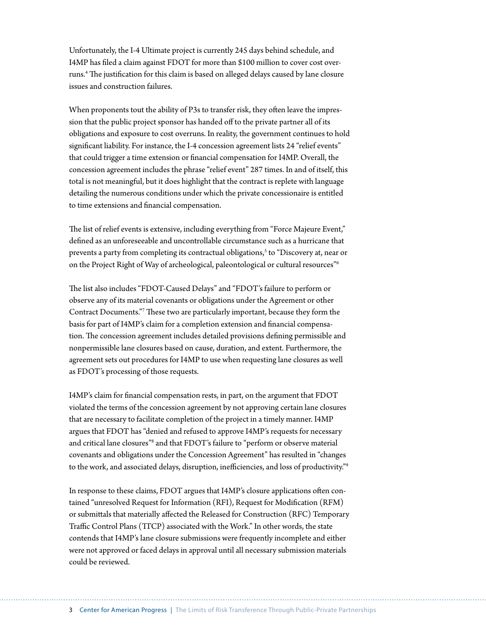Unfortunately, the I-4 Ultimate project is currently 245 days behind schedule, and I4MP has filed a claim against FDOT for more than \$100 million to cover cost overruns.4 The justification for this claim is based on alleged delays caused by lane closure issues and construction failures.

When proponents tout the ability of P3s to transfer risk, they often leave the impression that the public project sponsor has handed off to the private partner all of its obligations and exposure to cost overruns. In reality, the government continues to hold significant liability. For instance, the I-4 concession agreement lists 24 "relief events" that could trigger a time extension or financial compensation for I4MP. Overall, the concession agreement includes the phrase "relief event" 287 times. In and of itself, this total is not meaningful, but it does highlight that the contract is replete with language detailing the numerous conditions under which the private concessionaire is entitled to time extensions and financial compensation.

The list of relief events is extensive, including everything from "Force Majeure Event," defined as an unforeseeable and uncontrollable circumstance such as a hurricane that prevents a party from completing its contractual obligations,<sup>s</sup> to "Discovery at, near or on the Project Right of Way of archeological, paleontological or cultural resources"6

The list also includes "FDOT-Caused Delays" and "FDOT's failure to perform or observe any of its material covenants or obligations under the Agreement or other Contract Documents."7 These two are particularly important, because they form the basis for part of I4MP's claim for a completion extension and financial compensation. The concession agreement includes detailed provisions defining permissible and nonpermissible lane closures based on cause, duration, and extent. Furthermore, the agreement sets out procedures for I4MP to use when requesting lane closures as well as FDOT's processing of those requests.

I4MP's claim for financial compensation rests, in part, on the argument that FDOT violated the terms of the concession agreement by not approving certain lane closures that are necessary to facilitate completion of the project in a timely manner. I4MP argues that FDOT has "denied and refused to approve I4MP's requests for necessary and critical lane closures"<sup>8</sup> and that FDOT's failure to "perform or observe material covenants and obligations under the Concession Agreement" has resulted in "changes to the work, and associated delays, disruption, inefficiencies, and loss of productivity."9

In response to these claims, FDOT argues that I4MP's closure applications often contained "unresolved Request for Information (RFI), Request for Modification (RFM) or submittals that materially affected the Released for Construction (RFC) Temporary Traffic Control Plans (TTCP) associated with the Work." In other words, the state contends that I4MP's lane closure submissions were frequently incomplete and either were not approved or faced delays in approval until all necessary submission materials could be reviewed.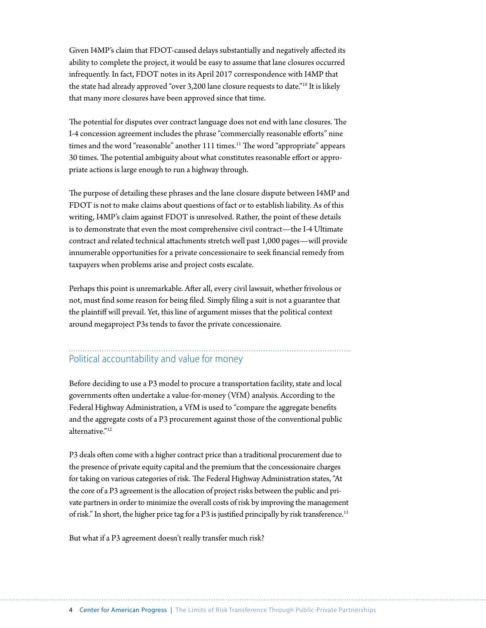Given I4MP's claim that FDOT-caused delays substantially and negatively affected its ability to complete the project, it would be easy to assume that lane closures occurred infrequently. In fact, FDOT notes in its April 2017 correspondence with I4MP that the state had already approved "over 3,200 lane closure requests to date."10 It is likely that many more closures have been approved since that time.

The potential for disputes over contract language does not end with lane closures. The I-4 concession agreement includes the phrase "commercially reasonable efforts" nine times and the word "reasonable" another  $111$  times.<sup>11</sup> The word "appropriate" appears 30 times. The potential ambiguity about what constitutes reasonable effort or appropriate actions is large enough to run a highway through.

The purpose of detailing these phrases and the lane closure dispute between I4MP and FDOT is not to make claims about questions of fact or to establish liability. As of this writing, I4MP's claim against FDOT is unresolved. Rather, the point of these details is to demonstrate that even the most comprehensive civil contract—the I-4 Ultimate contract and related technical attachments stretch well past 1,000 pages—will provide innumerable opportunities for a private concessionaire to seek financial remedy from taxpayers when problems arise and project costs escalate.

Perhaps this point is unremarkable. After all, every civil lawsuit, whether frivolous or not, must find some reason for being filed. Simply filing a suit is not a guarantee that the plaintiff will prevail. Yet, this line of argument misses that the political context around megaproject P3s tends to favor the private concessionaire.

### Political accountability and value for money

Before deciding to use a P3 model to procure a transportation facility, state and local governments often undertake a value-for-money (VfM) analysis. According to the Federal Highway Administration, a VfM is used to "compare the aggregate benefits and the aggregate costs of a P3 procurement against those of the conventional public alternative."12

P3 deals often come with a higher contract price than a traditional procurement due to the presence of private equity capital and the premium that the concessionaire charges for taking on various categories of risk. The Federal Highway Administration states, "At the core of a P3 agreement is the allocation of project risks between the public and private partners in order to minimize the overall costs of risk by improving the management of risk." In short, the higher price tag for a P3 is justified principally by risk transference.<sup>13</sup>

But what if a P3 agreement doesn't really transfer much risk?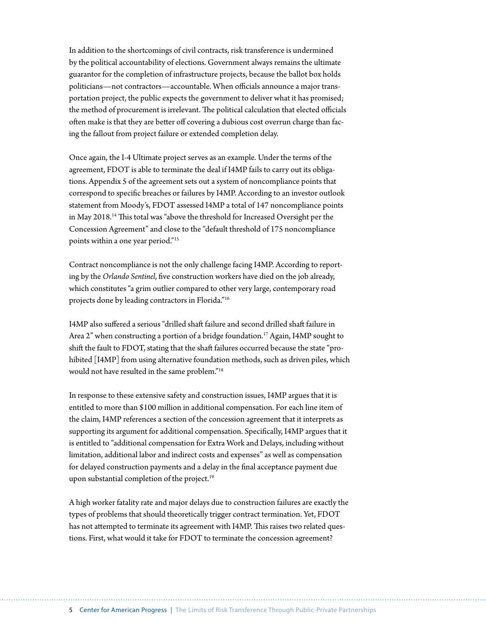In addition to the shortcomings of civil contracts, risk transference is undermined by the political accountability of elections. Government always remains the ultimate guarantor for the completion of infrastructure projects, because the ballot box holds politicians—not contractors—accountable. When officials announce a major transportation project, the public expects the government to deliver what it has promised; the method of procurement is irrelevant. The political calculation that elected officials often make is that they are better off covering a dubious cost overrun charge than facing the fallout from project failure or extended completion delay.

Once again, the I-4 Ultimate project serves as an example. Under the terms of the agreement, FDOT is able to terminate the deal if I4MP fails to carry out its obligations. Appendix 5 of the agreement sets out a system of noncompliance points that correspond to specific breaches or failures by I4MP. According to an investor outlook statement from Moody's, FDOT assessed I4MP a total of 147 noncompliance points in May 2018.14 This total was "above the threshold for Increased Oversight per the Concession Agreement" and close to the "default threshold of 175 noncompliance points within a one year period."15

Contract noncompliance is not the only challenge facing I4MP. According to reporting by the *Orlando Sentinel*, five construction workers have died on the job already, which constitutes "a grim outlier compared to other very large, contemporary road projects done by leading contractors in Florida."16

I4MP also suffered a serious "drilled shaft failure and second drilled shaft failure in Area 2" when constructing a portion of a bridge foundation.<sup>17</sup> Again, I4MP sought to shift the fault to FDOT, stating that the shaft failures occurred because the state "prohibited [I4MP] from using alternative foundation methods, such as driven piles, which would not have resulted in the same problem."18

In response to these extensive safety and construction issues, I4MP argues that it is entitled to more than \$100 million in additional compensation. For each line item of the claim, I4MP references a section of the concession agreement that it interprets as supporting its argument for additional compensation. Specifically, I4MP argues that it is entitled to "additional compensation for Extra Work and Delays, including without limitation, additional labor and indirect costs and expenses" as well as compensation for delayed construction payments and a delay in the final acceptance payment due upon substantial completion of the project.<sup>19</sup>

A high worker fatality rate and major delays due to construction failures are exactly the types of problems that should theoretically trigger contract termination. Yet, FDOT has not attempted to terminate its agreement with I4MP. This raises two related questions. First, what would it take for FDOT to terminate the concession agreement?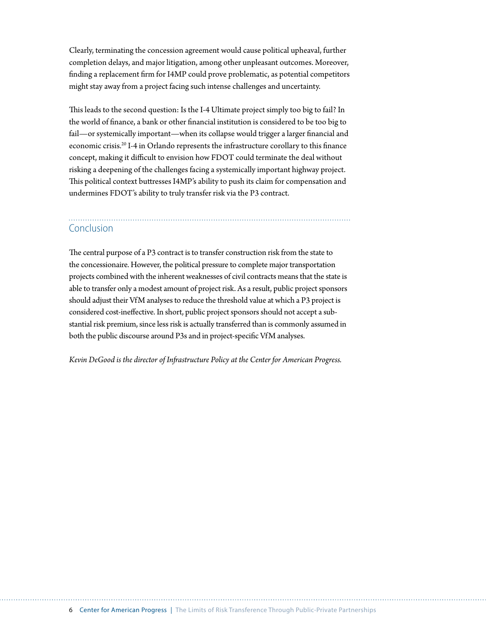Clearly, terminating the concession agreement would cause political upheaval, further completion delays, and major litigation, among other unpleasant outcomes. Moreover, finding a replacement firm for I4MP could prove problematic, as potential competitors might stay away from a project facing such intense challenges and uncertainty.

This leads to the second question: Is the I-4 Ultimate project simply too big to fail? In the world of finance, a bank or other financial institution is considered to be too big to fail—or systemically important—when its collapse would trigger a larger financial and economic crisis.20 I-4 in Orlando represents the infrastructure corollary to this finance concept, making it difficult to envision how FDOT could terminate the deal without risking a deepening of the challenges facing a systemically important highway project. This political context buttresses I4MP's ability to push its claim for compensation and undermines FDOT's ability to truly transfer risk via the P3 contract.

#### Conclusion

The central purpose of a P3 contract is to transfer construction risk from the state to the concessionaire. However, the political pressure to complete major transportation projects combined with the inherent weaknesses of civil contracts means that the state is able to transfer only a modest amount of project risk. As a result, public project sponsors should adjust their VfM analyses to reduce the threshold value at which a P3 project is considered cost-ineffective. In short, public project sponsors should not accept a substantial risk premium, since less risk is actually transferred than is commonly assumed in both the public discourse around P3s and in project-specific VfM analyses.

*Kevin DeGood is the director of Infrastructure Policy at the Center for American Progress.*